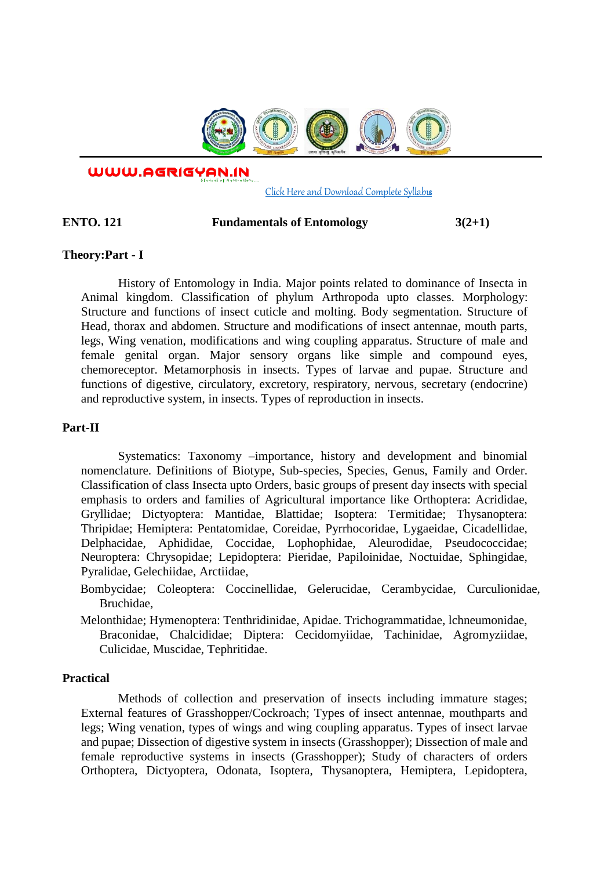

WWW.AGRIGYAN.IN

[Click Here and Download Complete Syllabus](http://agrigyan.in/)

 $\overline{a}$ 

#### **ENTO. 121** Fundamentals of Entomology 3(2+1)

### **Theory:Part - I**

History of Entomology in India. Major points related to dominance of Insecta in Animal kingdom. Classification of phylum Arthropoda upto classes. Morphology: Structure and functions of insect cuticle and molting. Body segmentation. Structure of Head, thorax and abdomen. Structure and modifications of insect antennae, mouth parts, legs, Wing venation, modifications and wing coupling apparatus. Structure of male and female genital organ. Major sensory organs like simple and compound eyes, chemoreceptor. Metamorphosis in insects. Types of larvae and pupae. Structure and functions of digestive, circulatory, excretory, respiratory, nervous, secretary (endocrine) and reproductive system, in insects. Types of reproduction in insects.

### **Part-II**

Systematics: Taxonomy –importance, history and development and binomial nomenclature. Definitions of Biotype, Sub-species, Species, Genus, Family and Order. Classification of class Insecta upto Orders, basic groups of present day insects with special emphasis to orders and families of Agricultural importance like Orthoptera: Acrididae, Gryllidae; Dictyoptera: Mantidae, Blattidae; Isoptera: Termitidae; Thysanoptera: Thripidae; Hemiptera: Pentatomidae, Coreidae, Pyrrhocoridae, Lygaeidae, Cicadellidae, Delphacidae, Aphididae, Coccidae, Lophophidae, Aleurodidae, Pseudococcidae; Neuroptera: Chrysopidae; Lepidoptera: Pieridae, Papiloinidae, Noctuidae, Sphingidae, Pyralidae, Gelechiidae, Arctiidae,

Bombycidae; Coleoptera: Coccinellidae, Gelerucidae, Cerambycidae, Curculionidae, Bruchidae,

Melonthidae; Hymenoptera: Tenthridinidae, Apidae. Trichogrammatidae, lchneumonidae, Braconidae, Chalcididae; Diptera: Cecidomyiidae, Tachinidae, Agromyziidae, Culicidae, Muscidae, Tephritidae.

#### **Practical**

Methods of collection and preservation of insects including immature stages; External features of Grasshopper/Cockroach; Types of insect antennae, mouthparts and legs; Wing venation, types of wings and wing coupling apparatus. Types of insect larvae and pupae; Dissection of digestive system in insects (Grasshopper); Dissection of male and female reproductive systems in insects (Grasshopper); Study of characters of orders Orthoptera, Dictyoptera, Odonata, Isoptera, Thysanoptera, Hemiptera, Lepidoptera,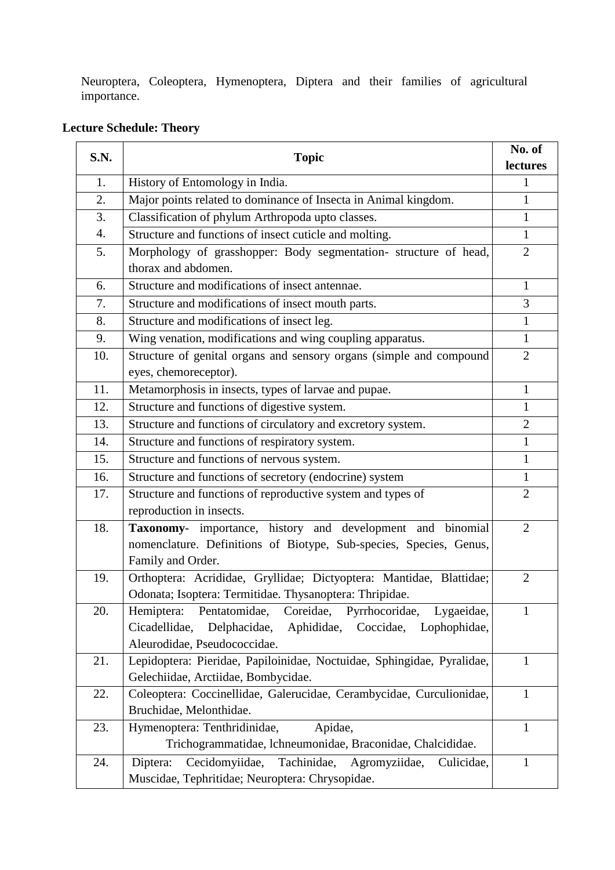Neuroptera, Coleoptera, Hymenoptera, Diptera and their families of agricultural importance.

# **Lecture Schedule: Theory**

| S.N. | <b>Topic</b>                                                                                                                                                                   | No. of<br>lectures |
|------|--------------------------------------------------------------------------------------------------------------------------------------------------------------------------------|--------------------|
| 1.   | History of Entomology in India.                                                                                                                                                | $\mathbf{1}$       |
| 2.   | Major points related to dominance of Insecta in Animal kingdom.                                                                                                                | $\mathbf{1}$       |
| 3.   | Classification of phylum Arthropoda upto classes.                                                                                                                              | $\mathbf{1}$       |
| 4.   | Structure and functions of insect cuticle and molting.                                                                                                                         | $\mathbf{1}$       |
| 5.   | Morphology of grasshopper: Body segmentation- structure of head,<br>thorax and abdomen.                                                                                        | $\overline{2}$     |
| 6.   | Structure and modifications of insect antennae.                                                                                                                                | $\mathbf{1}$       |
| 7.   | Structure and modifications of insect mouth parts.                                                                                                                             | 3                  |
| 8.   | Structure and modifications of insect leg.                                                                                                                                     | $\mathbf{1}$       |
| 9.   | Wing venation, modifications and wing coupling apparatus.                                                                                                                      | $\mathbf{1}$       |
| 10.  | Structure of genital organs and sensory organs (simple and compound<br>eyes, chemoreceptor).                                                                                   | $\overline{2}$     |
| 11.  | Metamorphosis in insects, types of larvae and pupae.                                                                                                                           | $\mathbf{1}$       |
| 12.  | Structure and functions of digestive system.                                                                                                                                   | 1                  |
| 13.  | Structure and functions of circulatory and excretory system.                                                                                                                   | $\overline{2}$     |
| 14.  | Structure and functions of respiratory system.                                                                                                                                 | $\mathbf{1}$       |
| 15.  | Structure and functions of nervous system.                                                                                                                                     | $\mathbf{1}$       |
| 16.  | Structure and functions of secretory (endocrine) system                                                                                                                        | $\mathbf{1}$       |
| 17.  | Structure and functions of reproductive system and types of<br>reproduction in insects.                                                                                        | $\overline{2}$     |
| 18.  | Taxonomy- importance, history and development and binomial<br>nomenclature. Definitions of Biotype, Sub-species, Species, Genus,<br>Family and Order.                          | $\overline{2}$     |
| 19.  | Orthoptera: Acrididae, Gryllidae; Dictyoptera: Mantidae, Blattidae;<br>Odonata; Isoptera: Termitidae. Thysanoptera: Thripidae.                                                 | $\overline{2}$     |
| 20.  | Coreidae, Pyrrhocoridae, Lygaeidae,<br>Pentatomidae,<br>Hemiptera:<br>Cicadellidae,<br>Delphacidae,<br>Aphididae,<br>Coccidae,<br>Lophophidae,<br>Aleurodidae, Pseudococcidae. | 1                  |
| 21.  | Lepidoptera: Pieridae, Papiloinidae, Noctuidae, Sphingidae, Pyralidae,<br>Gelechiidae, Arctiidae, Bombycidae.                                                                  | $\mathbf{1}$       |
| 22.  | Coleoptera: Coccinellidae, Galerucidae, Cerambycidae, Curculionidae,<br>Bruchidae, Melonthidae.                                                                                | $\mathbf{1}$       |
| 23.  | Hymenoptera: Tenthridinidae,<br>Apidae,<br>Trichogrammatidae, lchneumonidae, Braconidae, Chalcididae.                                                                          | 1                  |
| 24.  | Cecidomyiidae,<br>Tachinidae,<br>Agromyziidae,<br>Diptera:<br>Culicidae,<br>Muscidae, Tephritidae; Neuroptera: Chrysopidae.                                                    | 1                  |